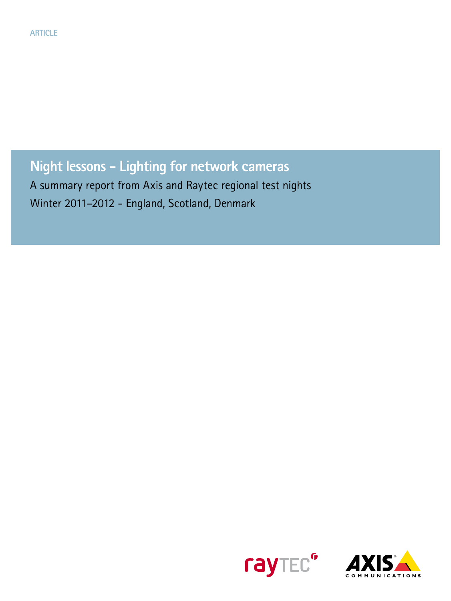**Night lessons - Lighting for network cameras**

A summary report from Axis and Raytec regional test nights Winter 2011–2012 - England, Scotland, Denmark



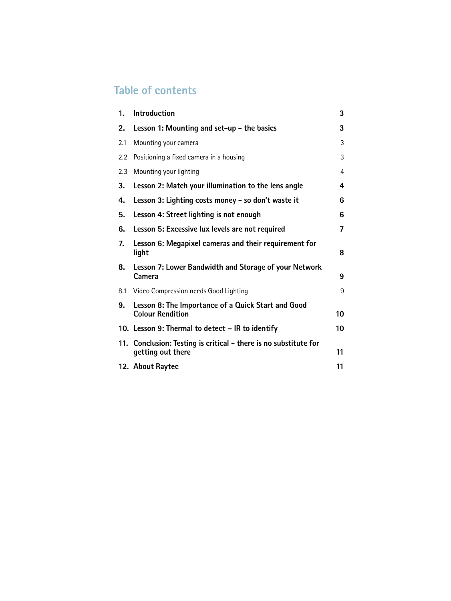# **Table of contents**

| 1.  | <b>Introduction</b>                                                                   | 3  |
|-----|---------------------------------------------------------------------------------------|----|
| 2.  | Lesson 1: Mounting and set-up - the basics                                            | 3  |
| 2.1 | Mounting your camera                                                                  | 3  |
| 2.2 | Positioning a fixed camera in a housing                                               | 3  |
| 2.3 | Mounting your lighting                                                                | 4  |
| 3.  | Lesson 2: Match your illumination to the lens angle                                   | 4  |
| 4.  | Lesson 3: Lighting costs money - so don't waste it                                    | 6  |
| 5.  | Lesson 4: Street lighting is not enough                                               | 6  |
| 6.  | Lesson 5: Excessive lux levels are not required                                       | 7  |
| 7.  | Lesson 6: Megapixel cameras and their requirement for<br>light                        | 8  |
| 8.  | Lesson 7: Lower Bandwidth and Storage of your Network<br>Camera                       | 9  |
| 8.1 | Video Compression needs Good Lighting                                                 | 9  |
| 9.  | Lesson 8: The Importance of a Quick Start and Good<br><b>Colour Rendition</b>         | 10 |
|     | 10. Lesson 9: Thermal to detect - IR to identify                                      | 10 |
|     | 11. Conclusion: Testing is critical - there is no substitute for<br>getting out there | 11 |
|     | 12. About Raytec                                                                      | 11 |
|     |                                                                                       |    |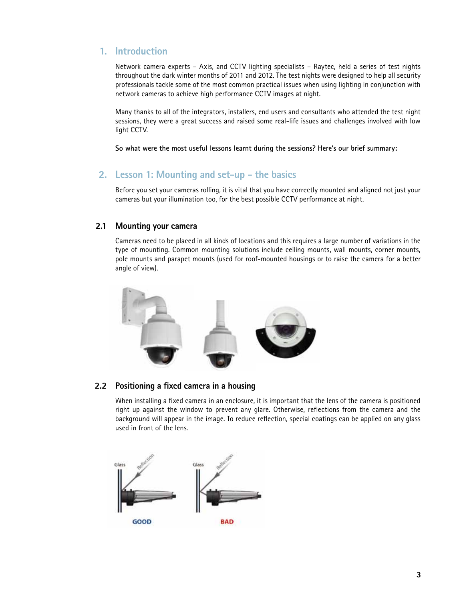# **1. Introduction**

Network camera experts – Axis, and CCTV lighting specialists – Raytec, held a series of test nights throughout the dark winter months of 2011 and 2012. The test nights were designed to help all security professionals tackle some of the most common practical issues when using lighting in conjunction with network cameras to achieve high performance CCTV images at night.

Many thanks to all of the integrators, installers, end users and consultants who attended the test night sessions, they were a great success and raised some real-life issues and challenges involved with low light CCTV.

**So what were the most useful lessons learnt during the sessions? Here's our brief summary:**

# **2. Lesson 1: Mounting and set-up - the basics**

Before you set your cameras rolling, it is vital that you have correctly mounted and aligned not just your cameras but your illumination too, for the best possible CCTV performance at night.

#### **2.1 Mounting your camera**

Cameras need to be placed in all kinds of locations and this requires a large number of variations in the type of mounting. Common mounting solutions include ceiling mounts, wall mounts, corner mounts, pole mounts and parapet mounts (used for roof-mounted housings or to raise the camera for a better angle of view).



### **2.2 Positioning a fixed camera in a housing**

When installing a fixed camera in an enclosure, it is important that the lens of the camera is positioned right up against the window to prevent any glare. Otherwise, reflections from the camera and the background will appear in the image. To reduce reflection, special coatings can be applied on any glass used in front of the lens.

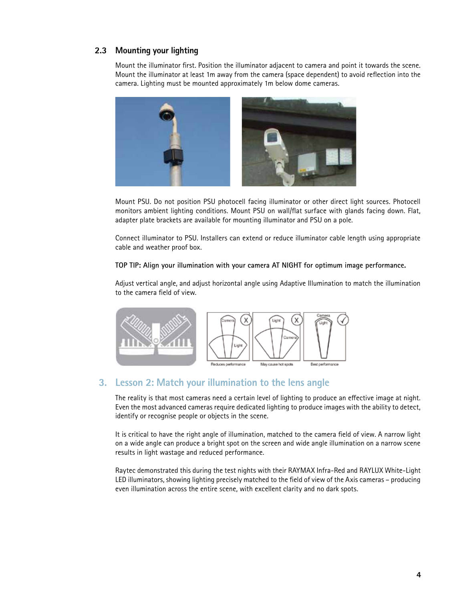### **2.3 Mounting your lighting**

Mount the illuminator first. Position the illuminator adjacent to camera and point it towards the scene. Mount the illuminator at least 1m away from the camera (space dependent) to avoid reflection into the camera. Lighting must be mounted approximately 1m below dome cameras.



Mount PSU. Do not position PSU photocell facing illuminator or other direct light sources. Photocell monitors ambient lighting conditions. Mount PSU on wall/flat surface with glands facing down. Flat, adapter plate brackets are available for mounting illuminator and PSU on a pole.

Connect illuminator to PSU. Installers can extend or reduce illuminator cable length using appropriate cable and weather proof box.

#### **TOP TIP: Align your illumination with your camera AT NIGHT for optimum image performance.**

Adjust vertical angle, and adjust horizontal angle using Adaptive Illumination to match the illumination to the camera field of view.



### **3. Lesson 2: Match your illumination to the lens angle**

The reality is that most cameras need a certain level of lighting to produce an effective image at night. Even the most advanced cameras require dedicated lighting to produce images with the ability to detect, identify or recognise people or objects in the scene.

It is critical to have the right angle of illumination, matched to the camera field of view. A narrow light on a wide angle can produce a bright spot on the screen and wide angle illumination on a narrow scene results in light wastage and reduced performance.

Raytec demonstrated this during the test nights with their RAYMAX Infra-Red and RAYLUX White-Light LED illuminators, showing lighting precisely matched to the field of view of the Axis cameras – producing even illumination across the entire scene, with excellent clarity and no dark spots.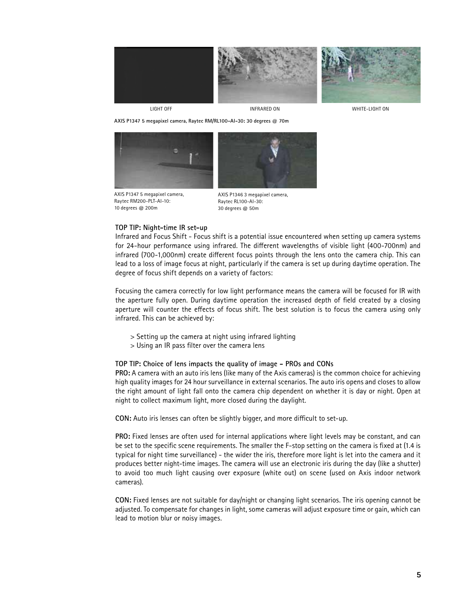

LIGHT OFF INFRARED ON WHITE-LIGHT ON

**AXIS P1347 5 megapixel camera, Raytec RM/RL100-AI-30: 30 degrees @ 70m**



AXIS P1347 5 megapixel camera, Raytec RM200-PLT-AI-10: 10 degrees @ 200m



AXIS P1346 3 megapixel camera, Raytec RL100-AI-30: 30 degrees @ 50m

#### **TOP TIP: Night-time IR set-up**

Infrared and Focus Shift - Focus shift is a potential issue encountered when setting up camera systems for 24-hour performance using infrared. The different wavelengths of visible light (400-700nm) and infrared (700-1,000nm) create different focus points through the lens onto the camera chip. This can lead to a loss of image focus at night, particularly if the camera is set up during daytime operation. The degree of focus shift depends on a variety of factors:

Focusing the camera correctly for low light performance means the camera will be focused for IR with the aperture fully open. During daytime operation the increased depth of field created by a closing aperture will counter the effects of focus shift. The best solution is to focus the camera using only infrared. This can be achieved by:

- > Setting up the camera at night using infrared lighting
- > Using an IR pass filter over the camera lens

#### **TOP TIP: Choice of lens impacts the quality of image - PROs and CONs**

**PRO:** A camera with an auto iris lens (like many of the Axis cameras) is the common choice for achieving high quality images for 24 hour surveillance in external scenarios. The auto iris opens and closes to allow the right amount of light fall onto the camera chip dependent on whether it is day or night. Open at night to collect maximum light, more closed during the daylight.

**CON:** Auto iris lenses can often be slightly bigger, and more difficult to set-up.

**PRO:** Fixed lenses are often used for internal applications where light levels may be constant, and can be set to the specific scene requirements. The smaller the F-stop setting on the camera is fixed at (1.4 is typical for night time surveillance) - the wider the iris, therefore more light is let into the camera and it produces better night-time images. The camera will use an electronic iris during the day (like a shutter) to avoid too much light causing over exposure (white out) on scene (used on Axis indoor network cameras).

**CON:** Fixed lenses are not suitable for day/night or changing light scenarios. The iris opening cannot be adjusted. To compensate for changes in light, some cameras will adjust exposure time or gain, which can lead to motion blur or noisy images.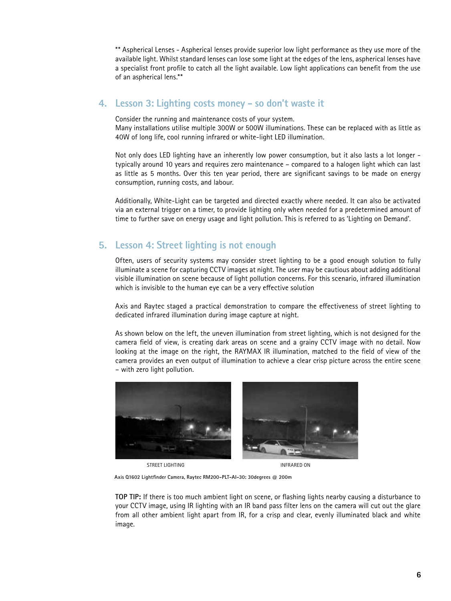\*\* Aspherical Lenses - Aspherical lenses provide superior low light performance as they use more of the available light. Whilst standard lenses can lose some light at the edges of the lens, aspherical lenses have a specialist front profile to catch all the light available. Low light applications can benefit from the use of an aspherical lens.\*\*

## **4. Lesson 3: Lighting costs money - so don't waste it**

Consider the running and maintenance costs of your system.

Many installations utilise multiple 300W or 500W illuminations. These can be replaced with as little as 40W of long life, cool running infrared or white-light LED illumination.

Not only does LED lighting have an inherently low power consumption, but it also lasts a lot longer typically around 10 years and requires zero maintenance – compared to a halogen light which can last as little as 5 months. Over this ten year period, there are significant savings to be made on energy consumption, running costs, and labour.

Additionally, White-Light can be targeted and directed exactly where needed. It can also be activated via an external trigger on a timer, to provide lighting only when needed for a predetermined amount of time to further save on energy usage and light pollution. This is referred to as 'Lighting on Demand'.

# **5. Lesson 4: Street lighting is not enough**

Often, users of security systems may consider street lighting to be a good enough solution to fully illuminate a scene for capturing CCTV images at night. The user may be cautious about adding additional visible illumination on scene because of light pollution concerns. For this scenario, infrared illumination which is invisible to the human eye can be a very effective solution

Axis and Raytec staged a practical demonstration to compare the effectiveness of street lighting to dedicated infrared illumination during image capture at night.

As shown below on the left, the uneven illumination from street lighting, which is not designed for the camera field of view, is creating dark areas on scene and a grainy CCTV image with no detail. Now looking at the image on the right, the RAYMAX IR illumination, matched to the field of view of the camera provides an even output of illumination to achieve a clear crisp picture across the entire scene – with zero light pollution.



STREET LIGHTING INFRARED ON

**Axis Q1602 Lightfinder Camera, Raytec RM200-PLT-AI-30: 30degrees @ 200m**

**TOP TIP:** If there is too much ambient light on scene, or flashing lights nearby causing a disturbance to your CCTV image, using IR lighting with an IR band pass filter lens on the camera will cut out the glare from all other ambient light apart from IR, for a crisp and clear, evenly illuminated black and white image.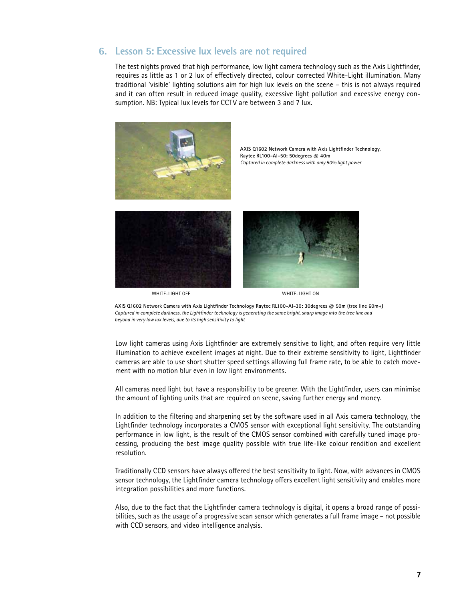# **6. Lesson 5: Excessive lux levels are not required**

The test nights proved that high performance, low light camera technology such as the Axis Lightfinder, requires as little as 1 or 2 lux of effectively directed, colour corrected White-Light illumination. Many traditional 'visible' lighting solutions aim for high lux levels on the scene – this is not always required and it can often result in reduced image quality, excessive light pollution and excessive energy consumption. NB: Typical lux levels for CCTV are between 3 and 7 lux.



 **AXIS Q1602 Network Camera with Axis Lightfinder Technology, Raytec RL100-AI-50: 50degrees @ 40m** *Captured in complete darkness with only 50% light power*





WHITE-LIGHT OFF WHITE-LIGHT ON

**AXIS Q1602 Network Camera with Axis Lightfinder Technology Raytec RL100-AI-30: 30degrees @ 50m (tree line 60m+)** *Captured in complete darkness, the Lightfinder technology is generating the same bright, sharp image into the tree line and beyond in very low lux levels, due to its high sensitivity to light*

Low light cameras using Axis Lightfinder are extremely sensitive to light, and often require very little illumination to achieve excellent images at night. Due to their extreme sensitivity to light, Lightfinder cameras are able to use short shutter speed settings allowing full frame rate, to be able to catch movement with no motion blur even in low light environments.

All cameras need light but have a responsibility to be greener. With the Lightfinder, users can minimise the amount of lighting units that are required on scene, saving further energy and money.

In addition to the filtering and sharpening set by the software used in all Axis camera technology, the Lightfinder technology incorporates a CMOS sensor with exceptional light sensitivity. The outstanding performance in low light, is the result of the CMOS sensor combined with carefully tuned image processing, producing the best image quality possible with true life-like colour rendition and excellent resolution.

Traditionally CCD sensors have always offered the best sensitivity to light. Now, with advances in CMOS sensor technology, the Lightfinder camera technology offers excellent light sensitivity and enables more integration possibilities and more functions.

Also, due to the fact that the Lightfinder camera technology is digital, it opens a broad range of possibilities, such as the usage of a progressive scan sensor which generates a full frame image – not possible with CCD sensors, and video intelligence analysis.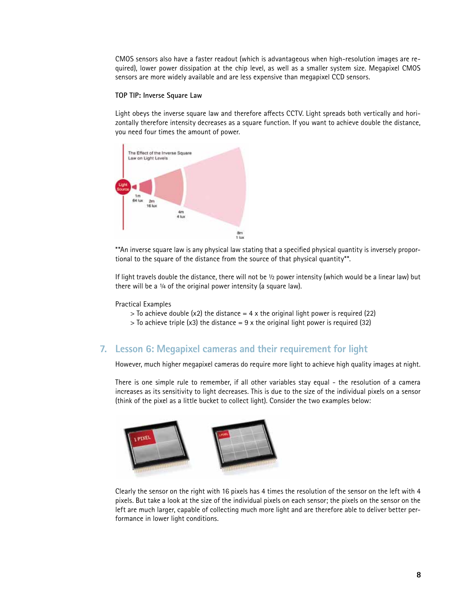CMOS sensors also have a faster readout (which is advantageous when high-resolution images are required), lower power dissipation at the chip level, as well as a smaller system size. Megapixel CMOS sensors are more widely available and are less expensive than megapixel CCD sensors.

#### **TOP TIP: Inverse Square Law**

Light obeys the inverse square law and therefore affects CCTV. Light spreads both vertically and horizontally therefore intensity decreases as a square function. If you want to achieve double the distance, you need four times the amount of power.



\*\*An inverse square law is any physical law stating that a specified physical quantity is inversely proportional to the square of the distance from the source of that physical quantity\*\*.

If light travels double the distance, there will not be ½ power intensity (which would be a linear law) but there will be a 1/4 of the original power intensity (a square law).

Practical Examples

- $>$  To achieve double (x2) the distance = 4 x the original light power is required (22)
- $>$  To achieve triple (x3) the distance = 9 x the original light power is required (32)

### **7. Lesson 6: Megapixel cameras and their requirement for light**

However, much higher megapixel cameras do require more light to achieve high quality images at night.

There is one simple rule to remember, if all other variables stay equal - the resolution of a camera increases as its sensitivity to light decreases. This is due to the size of the individual pixels on a sensor (think of the pixel as a little bucket to collect light). Consider the two examples below:



Clearly the sensor on the right with 16 pixels has 4 times the resolution of the sensor on the left with 4 pixels. But take a look at the size of the individual pixels on each sensor; the pixels on the sensor on the left are much larger, capable of collecting much more light and are therefore able to deliver better performance in lower light conditions.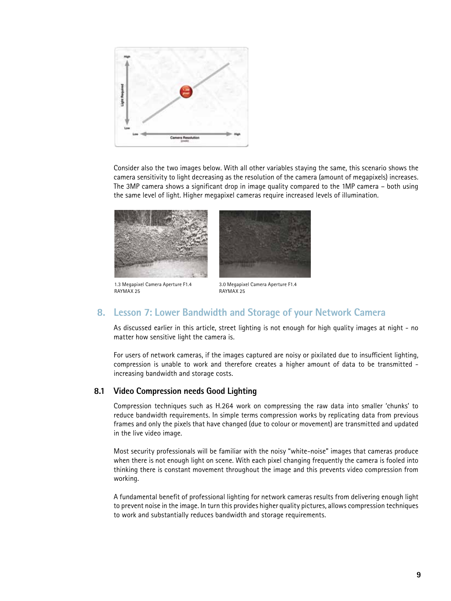

Consider also the two images below. With all other variables staying the same, this scenario shows the camera sensitivity to light decreasing as the resolution of the camera (amount of megapixels) increases. The 3MP camera shows a significant drop in image quality compared to the 1MP camera – both using the same level of light. Higher megapixel cameras require increased levels of illumination.



1.3 Megapixel Camera Aperture F1.4 RAYMAX 25



3.0 Megapixel Camera Aperture F1.4 RAYMAX 25

# **8. Lesson 7: Lower Bandwidth and Storage of your Network Camera**

As discussed earlier in this article, street lighting is not enough for high quality images at night - no matter how sensitive light the camera is.

For users of network cameras, if the images captured are noisy or pixilated due to insufficient lighting, compression is unable to work and therefore creates a higher amount of data to be transmitted increasing bandwidth and storage costs.

#### **8.1 Video Compression needs Good Lighting**

Compression techniques such as H.264 work on compressing the raw data into smaller 'chunks' to reduce bandwidth requirements. In simple terms compression works by replicating data from previous frames and only the pixels that have changed (due to colour or movement) are transmitted and updated in the live video image.

Most security professionals will be familiar with the noisy "white-noise" images that cameras produce when there is not enough light on scene. With each pixel changing frequently the camera is fooled into thinking there is constant movement throughout the image and this prevents video compression from working.

A fundamental benefit of professional lighting for network cameras results from delivering enough light to prevent noise in the image. In turn this provides higher quality pictures, allows compression techniques to work and substantially reduces bandwidth and storage requirements.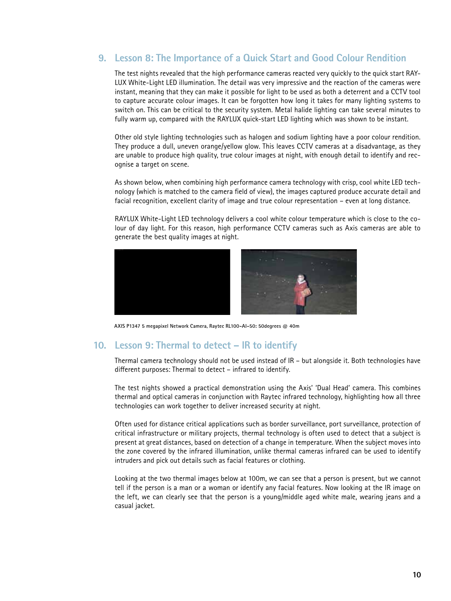# **9. Lesson 8: The Importance of a Quick Start and Good Colour Rendition**

The test nights revealed that the high performance cameras reacted very quickly to the quick start RAY-LUX White-Light LED illumination. The detail was very impressive and the reaction of the cameras were instant, meaning that they can make it possible for light to be used as both a deterrent and a CCTV tool to capture accurate colour images. It can be forgotten how long it takes for many lighting systems to switch on. This can be critical to the security system. Metal halide lighting can take several minutes to fully warm up, compared with the RAYLUX quick-start LED lighting which was shown to be instant.

Other old style lighting technologies such as halogen and sodium lighting have a poor colour rendition. They produce a dull, uneven orange/yellow glow. This leaves CCTV cameras at a disadvantage, as they are unable to produce high quality, true colour images at night, with enough detail to identify and recognise a target on scene.

As shown below, when combining high performance camera technology with crisp, cool white LED technology (which is matched to the camera field of view), the images captured produce accurate detail and facial recognition, excellent clarity of image and true colour representation – even at long distance.

RAYLUX White-Light LED technology delivers a cool white colour temperature which is close to the colour of day light. For this reason, high performance CCTV cameras such as Axis cameras are able to generate the best quality images at night.



**AXIS P1347 5 megapixel Network Camera, Raytec RL100-AI-50: 50degrees @ 40m**

### **10. Lesson 9: Thermal to detect – IR to identify**

Thermal camera technology should not be used instead of IR – but alongside it. Both technologies have different purposes: Thermal to detect – infrared to identify.

The test nights showed a practical demonstration using the Axis' 'Dual Head' camera. This combines thermal and optical cameras in conjunction with Raytec infrared technology, highlighting how all three technologies can work together to deliver increased security at night.

Often used for distance critical applications such as border surveillance, port surveillance, protection of critical infrastructure or military projects, thermal technology is often used to detect that a subject is present at great distances, based on detection of a change in temperature. When the subject moves into the zone covered by the infrared illumination, unlike thermal cameras infrared can be used to identify intruders and pick out details such as facial features or clothing.

Looking at the two thermal images below at 100m, we can see that a person is present, but we cannot tell if the person is a man or a woman or identify any facial features. Now looking at the IR image on the left, we can clearly see that the person is a young/middle aged white male, wearing jeans and a casual jacket.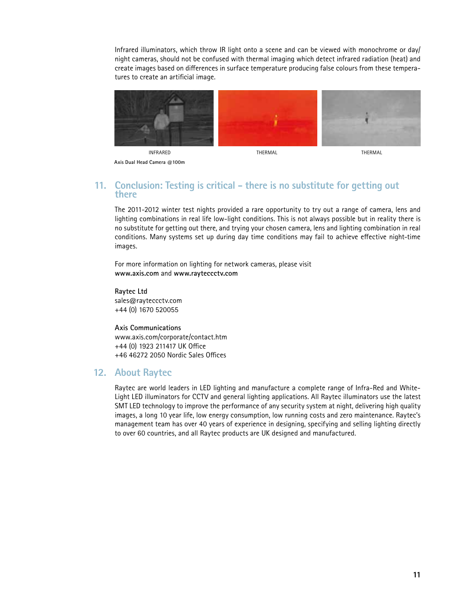Infrared illuminators, which throw IR light onto a scene and can be viewed with monochrome or day/ night cameras, should not be confused with thermal imaging which detect infrared radiation (heat) and create images based on differences in surface temperature producing false colours from these temperatures to create an artificial image.



**Axis Dual Head Camera @100m**

## **11. Conclusion: Testing is critical - there is no substitute for getting out there**

The 2011-2012 winter test nights provided a rare opportunity to try out a range of camera, lens and lighting combinations in real life low-light conditions. This is not always possible but in reality there is no substitute for getting out there, and trying your chosen camera, lens and lighting combination in real conditions. Many systems set up during day time conditions may fail to achieve effective night-time images.

For more information on lighting for network cameras, please visit **www.axis.com** and **www.rayteccctv.com**

**Raytec Ltd** sales@rayteccctv.com +44 (0) 1670 520055

**Axis Communications** www.axis.com/corporate/contact.htm +44 (0) 1923 211417 UK Office +46 46272 2050 Nordic Sales Offices

# **12. About Raytec**

Raytec are world leaders in LED lighting and manufacture a complete range of Infra-Red and White-Light LED illuminators for CCTV and general lighting applications. All Raytec illuminators use the latest SMT LED technology to improve the performance of any security system at night, delivering high quality images, a long 10 year life, low energy consumption, low running costs and zero maintenance. Raytec's management team has over 40 years of experience in designing, specifying and selling lighting directly to over 60 countries, and all Raytec products are UK designed and manufactured.